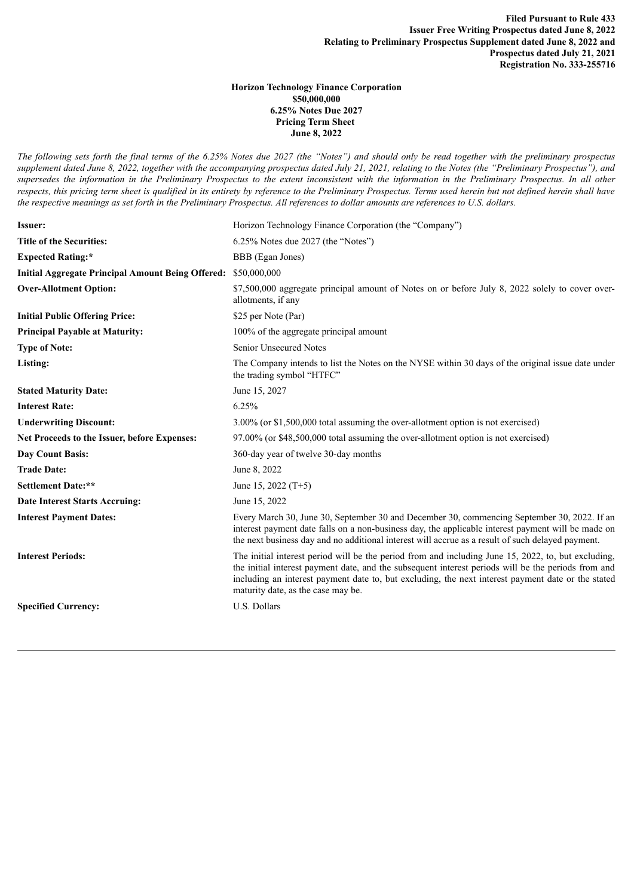## **Horizon Technology Finance Corporation \$50,000,000 6.25% Notes Due 2027 Pricing Term Sheet June 8, 2022**

The following sets forth the final terms of the 6.25% Notes due 2027 (the "Notes") and should only be read together with the preliminary prospectus supplement dated June 8, 2022, together with the accompanying prospectus dated July 21, 2021, relating to the Notes (the "Preliminary Prospectus"), and supersedes the information in the Preliminary Prospectus to the extent inconsistent with the information in the Preliminary Prospectus. In all other respects, this pricing term sheet is qualified in its entirety by reference to the Preliminary Prospectus. Terms used herein but not defined herein shall have the respective meanings as set forth in the Preliminary Prospectus. All references to dollar amounts are references to U.S. dollars.

| <b>Issuer:</b>                                                 | Horizon Technology Finance Corporation (the "Company")                                                                                                                                                                                                                                                                                                 |
|----------------------------------------------------------------|--------------------------------------------------------------------------------------------------------------------------------------------------------------------------------------------------------------------------------------------------------------------------------------------------------------------------------------------------------|
| <b>Title of the Securities:</b>                                | $6.25\%$ Notes due 2027 (the "Notes")                                                                                                                                                                                                                                                                                                                  |
| <b>Expected Rating:*</b>                                       | BBB (Egan Jones)                                                                                                                                                                                                                                                                                                                                       |
| Initial Aggregate Principal Amount Being Offered: \$50,000,000 |                                                                                                                                                                                                                                                                                                                                                        |
| <b>Over-Allotment Option:</b>                                  | \$7,500,000 aggregate principal amount of Notes on or before July 8, 2022 solely to cover over-<br>allotments, if any                                                                                                                                                                                                                                  |
| <b>Initial Public Offering Price:</b>                          | \$25 per Note (Par)                                                                                                                                                                                                                                                                                                                                    |
| <b>Principal Payable at Maturity:</b>                          | 100% of the aggregate principal amount                                                                                                                                                                                                                                                                                                                 |
| <b>Type of Note:</b>                                           | <b>Senior Unsecured Notes</b>                                                                                                                                                                                                                                                                                                                          |
| Listing:                                                       | The Company intends to list the Notes on the NYSE within 30 days of the original issue date under<br>the trading symbol "HTFC"                                                                                                                                                                                                                         |
| <b>Stated Maturity Date:</b>                                   | June 15, 2027                                                                                                                                                                                                                                                                                                                                          |
| <b>Interest Rate:</b>                                          | 6.25%                                                                                                                                                                                                                                                                                                                                                  |
| <b>Underwriting Discount:</b>                                  | 3.00% (or \$1,500,000 total assuming the over-allotment option is not exercised)                                                                                                                                                                                                                                                                       |
| Net Proceeds to the Issuer, before Expenses:                   | 97.00% (or \$48,500,000 total assuming the over-allotment option is not exercised)                                                                                                                                                                                                                                                                     |
| <b>Day Count Basis:</b>                                        | 360-day year of twelve 30-day months                                                                                                                                                                                                                                                                                                                   |
| <b>Trade Date:</b>                                             | June 8, 2022                                                                                                                                                                                                                                                                                                                                           |
| <b>Settlement Date:**</b>                                      | June 15, 2022 $(T+5)$                                                                                                                                                                                                                                                                                                                                  |
| <b>Date Interest Starts Accruing:</b>                          | June 15, 2022                                                                                                                                                                                                                                                                                                                                          |
| <b>Interest Payment Dates:</b>                                 | Every March 30, June 30, September 30 and December 30, commencing September 30, 2022. If an<br>interest payment date falls on a non-business day, the applicable interest payment will be made on<br>the next business day and no additional interest will accrue as a result of such delayed payment.                                                 |
| <b>Interest Periods:</b>                                       | The initial interest period will be the period from and including June 15, 2022, to, but excluding,<br>the initial interest payment date, and the subsequent interest periods will be the periods from and<br>including an interest payment date to, but excluding, the next interest payment date or the stated<br>maturity date, as the case may be. |
| <b>Specified Currency:</b>                                     | U.S. Dollars                                                                                                                                                                                                                                                                                                                                           |